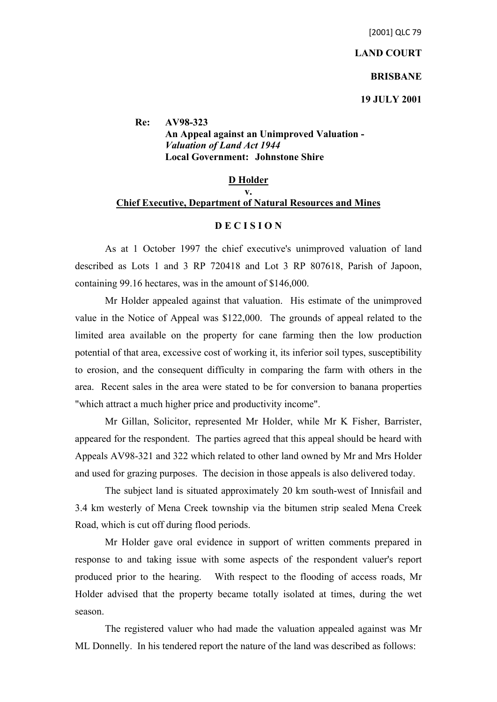#### **LAND COURT**

#### **BRISBANE**

**19 JULY 2001**

**Re: AV98-323 An Appeal against an Unimproved Valuation -** *Valuation of Land Act 1944* **Local Government: Johnstone Shire**

# **D Holder v. Chief Executive, Department of Natural Resources and Mines**

## **D E C I S I O N**

As at 1 October 1997 the chief executive's unimproved valuation of land described as Lots 1 and 3 RP 720418 and Lot 3 RP 807618, Parish of Japoon, containing 99.16 hectares, was in the amount of \$146,000.

Mr Holder appealed against that valuation. His estimate of the unimproved value in the Notice of Appeal was \$122,000. The grounds of appeal related to the limited area available on the property for cane farming then the low production potential of that area, excessive cost of working it, its inferior soil types, susceptibility to erosion, and the consequent difficulty in comparing the farm with others in the area. Recent sales in the area were stated to be for conversion to banana properties "which attract a much higher price and productivity income".

Mr Gillan, Solicitor, represented Mr Holder, while Mr K Fisher, Barrister, appeared for the respondent. The parties agreed that this appeal should be heard with Appeals AV98-321 and 322 which related to other land owned by Mr and Mrs Holder and used for grazing purposes. The decision in those appeals is also delivered today.

The subject land is situated approximately 20 km south-west of Innisfail and 3.4 km westerly of Mena Creek township via the bitumen strip sealed Mena Creek Road, which is cut off during flood periods.

Mr Holder gave oral evidence in support of written comments prepared in response to and taking issue with some aspects of the respondent valuer's report produced prior to the hearing. With respect to the flooding of access roads, Mr Holder advised that the property became totally isolated at times, during the wet season.

The registered valuer who had made the valuation appealed against was Mr ML Donnelly. In his tendered report the nature of the land was described as follows: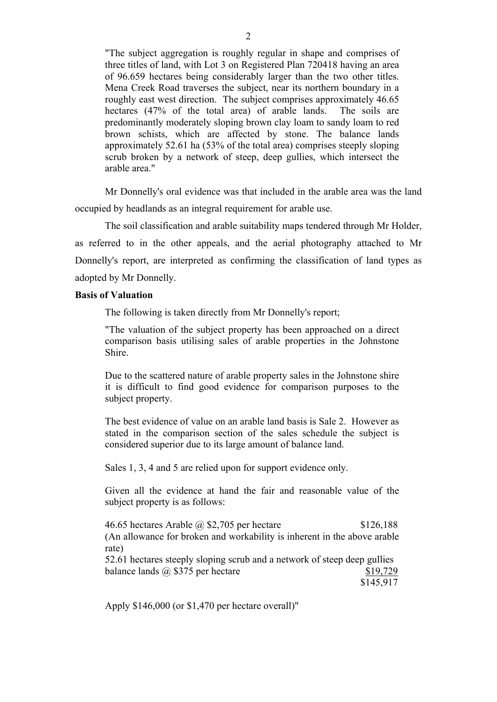"The subject aggregation is roughly regular in shape and comprises of three titles of land, with Lot 3 on Registered Plan 720418 having an area of 96.659 hectares being considerably larger than the two other titles. Mena Creek Road traverses the subject, near its northern boundary in a roughly east west direction. The subject comprises approximately 46.65 hectares (47% of the total area) of arable lands. The soils are predominantly moderately sloping brown clay loam to sandy loam to red brown schists, which are affected by stone. The balance lands approximately 52.61 ha (53% of the total area) comprises steeply sloping scrub broken by a network of steep, deep gullies, which intersect the arable area."

Mr Donnelly's oral evidence was that included in the arable area was the land occupied by headlands as an integral requirement for arable use.

The soil classification and arable suitability maps tendered through Mr Holder, as referred to in the other appeals, and the aerial photography attached to Mr Donnelly's report, are interpreted as confirming the classification of land types as adopted by Mr Donnelly.

#### **Basis of Valuation**

The following is taken directly from Mr Donnelly's report;

"The valuation of the subject property has been approached on a direct comparison basis utilising sales of arable properties in the Johnstone Shire.

Due to the scattered nature of arable property sales in the Johnstone shire it is difficult to find good evidence for comparison purposes to the subject property.

The best evidence of value on an arable land basis is Sale 2. However as stated in the comparison section of the sales schedule the subject is considered superior due to its large amount of balance land.

Sales 1, 3, 4 and 5 are relied upon for support evidence only.

Given all the evidence at hand the fair and reasonable value of the subject property is as follows:

46.65 hectares Arable @ \$2,705 per hectare \$126,188 (An allowance for broken and workability is inherent in the above arable rate) 52.61 hectares steeply sloping scrub and a network of steep deep gullies

balance lands  $\omega$ , \$375 per hectare \$19,729 \$145,917

Apply \$146,000 (or \$1,470 per hectare overall)"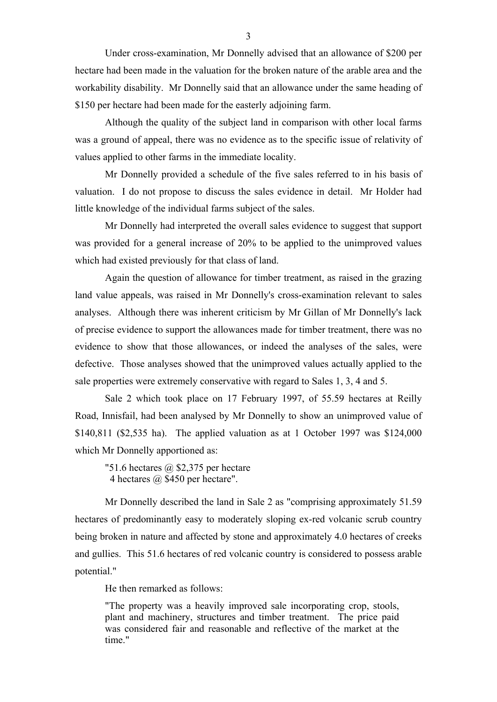Under cross-examination, Mr Donnelly advised that an allowance of \$200 per hectare had been made in the valuation for the broken nature of the arable area and the workability disability. Mr Donnelly said that an allowance under the same heading of \$150 per hectare had been made for the easterly adjoining farm.

Although the quality of the subject land in comparison with other local farms was a ground of appeal, there was no evidence as to the specific issue of relativity of values applied to other farms in the immediate locality.

Mr Donnelly provided a schedule of the five sales referred to in his basis of valuation. I do not propose to discuss the sales evidence in detail. Mr Holder had little knowledge of the individual farms subject of the sales.

Mr Donnelly had interpreted the overall sales evidence to suggest that support was provided for a general increase of 20% to be applied to the unimproved values which had existed previously for that class of land.

Again the question of allowance for timber treatment, as raised in the grazing land value appeals, was raised in Mr Donnelly's cross-examination relevant to sales analyses. Although there was inherent criticism by Mr Gillan of Mr Donnelly's lack of precise evidence to support the allowances made for timber treatment, there was no evidence to show that those allowances, or indeed the analyses of the sales, were defective. Those analyses showed that the unimproved values actually applied to the sale properties were extremely conservative with regard to Sales 1, 3, 4 and 5.

Sale 2 which took place on 17 February 1997, of 55.59 hectares at Reilly Road, Innisfail, had been analysed by Mr Donnelly to show an unimproved value of \$140,811 (\$2,535 ha). The applied valuation as at 1 October 1997 was \$124,000 which Mr Donnelly apportioned as:

"51.6 hectares  $\omega$  \$2,375 per hectare 4 hectares @ \$450 per hectare".

Mr Donnelly described the land in Sale 2 as "comprising approximately 51.59 hectares of predominantly easy to moderately sloping ex-red volcanic scrub country being broken in nature and affected by stone and approximately 4.0 hectares of creeks and gullies. This 51.6 hectares of red volcanic country is considered to possess arable potential."

He then remarked as follows:

"The property was a heavily improved sale incorporating crop, stools, plant and machinery, structures and timber treatment. The price paid was considered fair and reasonable and reflective of the market at the time"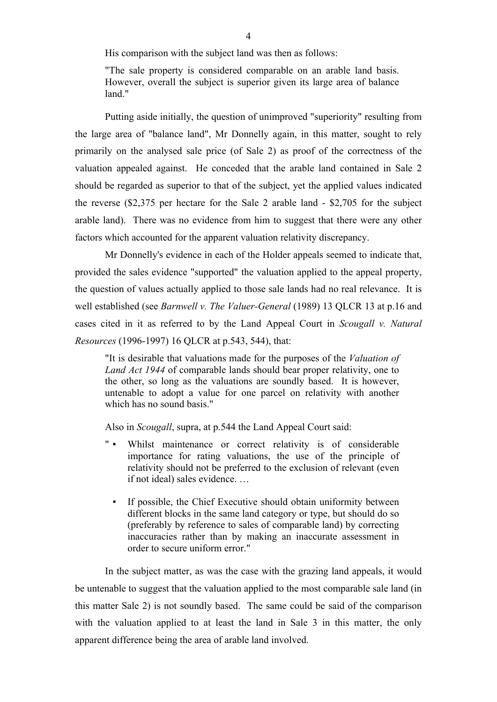His comparison with the subject land was then as follows:

"The sale property is considered comparable on an arable land basis. However, overall the subject is superior given its large area of balance land."

Putting aside initially, the question of unimproved "superiority" resulting from the large area of "balance land", Mr Donnelly again, in this matter, sought to rely primarily on the analysed sale price (of Sale 2) as proof of the correctness of the valuation appealed against. He conceded that the arable land contained in Sale 2 should be regarded as superior to that of the subject, yet the applied values indicated the reverse (\$2,375 per hectare for the Sale 2 arable land - \$2,705 for the subject arable land). There was no evidence from him to suggest that there were any other factors which accounted for the apparent valuation relativity discrepancy.

Mr Donnelly's evidence in each of the Holder appeals seemed to indicate that, provided the sales evidence "supported" the valuation applied to the appeal property, the question of values actually applied to those sale lands had no real relevance. It is well established (see *Barnwell v. The Valuer-General* (1989) 13 QLCR 13 at p.16 and cases cited in it as referred to by the Land Appeal Court in *Scougall v. Natural Resources* (1996-1997) 16 QLCR at p.543, 544), that:

"It is desirable that valuations made for the purposes of the *Valuation of Land Act 1944* of comparable lands should bear proper relativity, one to the other, so long as the valuations are soundly based. It is however, untenable to adopt a value for one parcel on relativity with another which has no sound basis."

Also in *Scougall*, supra, at p.544 the Land Appeal Court said:

- " Whilst maintenance or correct relativity is of considerable importance for rating valuations, the use of the principle of relativity should not be preferred to the exclusion of relevant (even if not ideal) sales evidence. …
	- If possible, the Chief Executive should obtain uniformity between different blocks in the same land category or type, but should do so (preferably by reference to sales of comparable land) by correcting inaccuracies rather than by making an inaccurate assessment in order to secure uniform error."

In the subject matter, as was the case with the grazing land appeals, it would be untenable to suggest that the valuation applied to the most comparable sale land (in this matter Sale 2) is not soundly based. The same could be said of the comparison with the valuation applied to at least the land in Sale 3 in this matter, the only apparent difference being the area of arable land involved.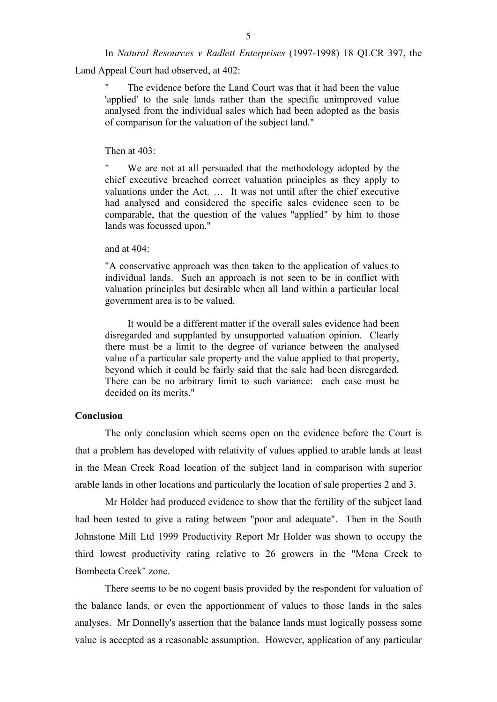In *Natural Resources v Radlett Enterprises* (1997-1998) 18 QLCR 397, the

Land Appeal Court had observed, at 402:

The evidence before the Land Court was that it had been the value 'applied' to the sale lands rather than the specific unimproved value analysed from the individual sales which had been adopted as the basis of comparison for the valuation of the subject land."

### Then at 403:

We are not at all persuaded that the methodology adopted by the chief executive breached correct valuation principles as they apply to valuations under the Act. … It was not until after the chief executive had analysed and considered the specific sales evidence seen to be comparable, that the question of the values "applied" by him to those lands was focussed upon."

#### and at  $404$

"A conservative approach was then taken to the application of values to individual lands. Such an approach is not seen to be in conflict with valuation principles but desirable when all land within a particular local government area is to be valued.

It would be a different matter if the overall sales evidence had been disregarded and supplanted by unsupported valuation opinion. Clearly there must be a limit to the degree of variance between the analysed value of a particular sale property and the value applied to that property, beyond which it could be fairly said that the sale had been disregarded. There can be no arbitrary limit to such variance: each case must be decided on its merits."

### **Conclusion**

The only conclusion which seems open on the evidence before the Court is that a problem has developed with relativity of values applied to arable lands at least in the Mean Creek Road location of the subject land in comparison with superior arable lands in other locations and particularly the location of sale properties 2 and 3.

Mr Holder had produced evidence to show that the fertility of the subject land had been tested to give a rating between "poor and adequate". Then in the South Johnstone Mill Ltd 1999 Productivity Report Mr Holder was shown to occupy the third lowest productivity rating relative to 26 growers in the "Mena Creek to Bombeeta Creek" zone.

There seems to be no cogent basis provided by the respondent for valuation of the balance lands, or even the apportionment of values to those lands in the sales analyses. Mr Donnelly's assertion that the balance lands must logically possess some value is accepted as a reasonable assumption. However, application of any particular